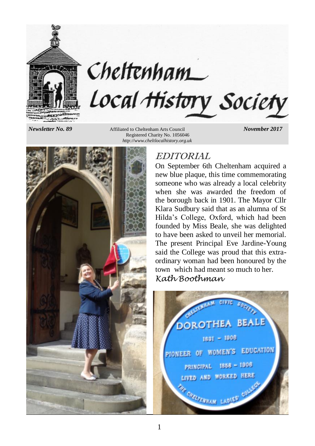

# Cheltenham Local History Society

*Newsletter No. 89* Affiliated to Cheltenham Arts Council *November 2017* Registered Charity No. 1056046 *http://www.cheltlocalhistory.org.uk*



# EDITORIAL

On September 6th Cheltenham acquired a new blue plaque, this time commemorating someone who was already a local celebrity when she was awarded the freedom of the borough back in 1901. The Mayor Cllr Klara Sudbury said that as an alumna of St Hilda's College, Oxford, which had been founded by Miss Beale, she was delighted to have been asked to unveil her memorial. The present Principal Eve Jardine-Young said the College was proud that this extraordinary woman had been honoured by the town which had meant so much to her. *Kath Boothman*

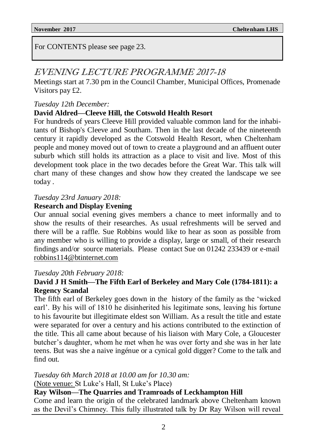For CONTENTS please see page 23.

# EVENING LECTURE PROGRAMME 2017-18

Meetings start at 7.30 pm in the Council Chamber, Municipal Offices, Promenade Visitors pay £2.

*Tuesday 12th December:*

#### **David Aldred—Cleeve Hill, the Cotswold Health Resort**

For hundreds of years Cleeve Hill provided valuable common land for the inhabitants of Bishop's Cleeve and Southam. Then in the last decade of the nineteenth century it rapidly developed as the Cotswold Health Resort, when Cheltenham people and money moved out of town to create a playground and an affluent outer suburb which still holds its attraction as a place to visit and live. Most of this development took place in the two decades before the Great War. This talk will chart many of these changes and show how they created the landscape we see today .

#### *Tuesday 23rd January 2018:*

#### **Research and Display Evening**

Our annual social evening gives members a chance to meet informally and to show the results of their researches. As usual refreshments will be served and there will be a raffle. Sue Robbins would like to hear as soon as possible from any member who is willing to provide a display, large or small, of their research findings and/or source materials. Please contact Sue on 01242 233439 or e-mail robbins114@btinternet.com

#### *Tuesday 20th February 2018:*

### **David J H Smith—The Fifth Earl of Berkeley and Mary Cole (1784-1811): a Regency Scandal**

The fifth earl of Berkeley goes down in the history of the family as the 'wicked earl'. By his will of 1810 he disinherited his legitimate sons, leaving his fortune to his favourite but illegitimate eldest son William. As a result the title and estate were separated for over a century and his actions contributed to the extinction of the title. This all came about because of his liaison with Mary Cole, a Gloucester butcher's daughter, whom he met when he was over forty and she was in her late teens. But was she a naive ingénue or a cynical gold digger? Come to the talk and find out.

*Tuesday 6th March 2018 at 10.00 am for 10.30 am:*

(Note venue: St Luke's Hall, St Luke's Place)

**Ray Wilson—The Quarries and Tramroads of Leckhampton Hill**

Come and learn the origin of the celebrated landmark above Cheltenham known as the Devil's Chimney. This fully illustrated talk by Dr Ray Wilson will reveal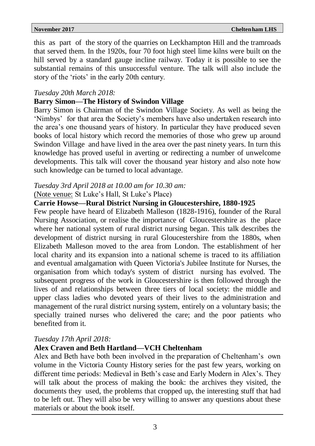this as part of the story of the quarries on Leckhampton Hill and the tramroads that served them. In the 1920s, four 70 foot high steel lime kilns were built on the hill served by a standard gauge incline railway. Today it is possible to see the substantial remains of this unsuccessful venture. The talk will also include the story of the 'riots' in the early 20th century.

#### *Tuesday 20th March 2018:*

#### **Barry Simon—The History of Swindon Village**

Barry Simon is Chairman of the Swindon Village Society. As well as being the 'Nimbys' for that area the Society's members have also undertaken research into the area's one thousand years of history. In particular they have produced seven books of local history which record the memories of those who grew up around Swindon Village and have lived in the area over the past ninety years. In turn this knowledge has proved useful in averting or redirecting a number of unwelcome developments. This talk will cover the thousand year history and also note how such knowledge can be turned to local advantage.

# *Tuesday 3rd April 2018 at 10.00 am for 10.30 am:*

#### (Note venue: St Luke's Hall, St Luke's Place)

#### **Carrie Howse—Rural District Nursing in Gloucestershire, 1880-1925**

Few people have heard of Elizabeth Malleson (1828-1916), founder of the Rural Nursing Association, or realise the importance of Gloucestershire as the place where her national system of rural district nursing began. This talk describes the development of district nursing in rural Gloucestershire from the 1880s, when Elizabeth Malleson moved to the area from London. The establishment of her local charity and its expansion into a national scheme is traced to its affiliation and eventual amalgamation with Queen Victoria's Jubilee Institute for Nurses, the organisation from which today's system of district nursing has evolved. The subsequent progress of the work in Gloucestershire is then followed through the lives of and relationships between three tiers of local society: the middle and upper class ladies who devoted years of their lives to the administration and management of the rural district nursing system, entirely on a voluntary basis; the specially trained nurses who delivered the care; and the poor patients who benefited from it.

#### *Tuesday 17th April 2018:*

#### **Alex Craven and Beth Hartland—VCH Cheltenham**

Alex and Beth have both been involved in the preparation of Cheltenham's own volume in the Victoria County History series for the past few years, working on different time periods: Medieval in Beth's case and Early Modern in Alex's. They will talk about the process of making the book: the archives they visited, the documents they used, the problems that cropped up, the interesting stuff that had to be left out. They will also be very willing to answer any questions about these materials or about the book itself.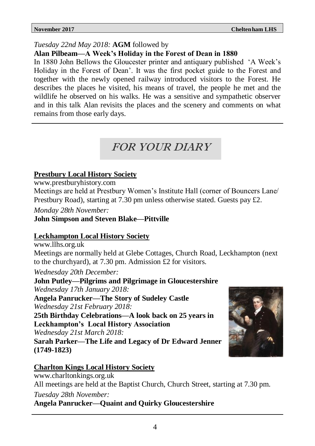## *Tuesday 22nd May 2018:* **AGM** followed by

### **Alan Pilbeam—A Week's Holiday in the Forest of Dean in 1880**

In 1880 John Bellows the Gloucester printer and antiquary published 'A Week's Holiday in the Forest of Dean'. It was the first pocket guide to the Forest and together with the newly opened railway introduced visitors to the Forest. He describes the places he visited, his means of travel, the people he met and the wildlife he observed on his walks. He was a sensitive and sympathetic observer and in this talk Alan revisits the places and the scenery and comments on what remains from those early days.

# FOR YOUR DIARY

# **Prestbury Local History Society**

www.prestburyhistory.com

Meetings are held at Prestbury Women's Institute Hall (corner of Bouncers Lane/ Prestbury Road), starting at 7.30 pm unless otherwise stated. Guests pay £2.

*Monday 28th November:*

## **John Simpson and Steven Blake—Pittville**

## **Leckhampton Local History Society**

www.llhs.org.uk

Meetings are normally held at Glebe Cottages, Church Road, Leckhampton (next to the churchyard), at 7.30 pm. Admission £2 for visitors.

*Wednesday 20th December:*

**John Putley—Pilgrims and Pilgrimage in Gloucestershire** *Wednesday 17th January 2018:* **Angela Panrucker—The Story of Sudeley Castle**

*Wednesday 21st February 2018:*

**25th Birthday Celebrations—A look back on 25 years in Leckhampton's Local History Association**

*Wednesday 21st March 2018:*

**Sarah Parker—The Life and Legacy of Dr Edward Jenner (1749-1823)**



# **Charlton Kings Local History Society**

www.charltonkings.org.uk

All meetings are held at the Baptist Church, Church Street, starting at 7.30 pm.

*Tuesday 28th November:*

## **Angela Panrucker—Quaint and Quirky Gloucestershire**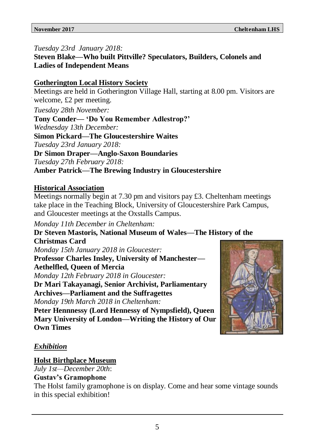# *Tuesday 23rd January 2018:*

**Steven Blake—Who built Pittville? Speculators, Builders, Colonels and Ladies of Independent Means**

# **Gotherington Local History Society**

Meetings are held in Gotherington Village Hall, starting at 8.00 pm. Visitors are welcome, £2 per meeting.

*Tuesday 28th November:*

**Tony Conder— 'Do You Remember Adlestrop?'**

*Wednesday 13th December:*

**Simon Pickard—The Gloucestershire Waites**

*Tuesday 23rd January 2018:*

# **Dr Simon Draper—Anglo-Saxon Boundaries**

*Tuesday 27th February 2018:*

# **Amber Patrick—The Brewing Industry in Gloucestershire**

# **Historical Association**

Meetings normally begin at 7.30 pm and visitors pay £3. Cheltenham meetings take place in the Teaching Block, University of Gloucestershire Park Campus, and Gloucester meetings at the Oxstalls Campus.

*Monday 11th December in Cheltenham:*

**Dr Steven Mastoris, National Museum of Wales—The History of the Christmas Card**

*Monday 15th January 2018 in Gloucester:*

**Professor Charles Insley, University of Manchester— Aethelfled, Queen of Mercia**

*Monday 12th February 2018 in Gloucester:*

**Dr Mari Takayanagi, Senior Archivist, Parliamentary Archives—Parliament and the Suffragettes** *Monday 19th March 2018 in Cheltenham:*

**Peter Hennnessy (Lord Hennessy of Nympsfield), Queen Mary University of London—Writing the History of Our Own Times**



# *Exhibition*

# **Holst Birthplace Museum**

*July 1st—December 20th*:

## **Gustav's Gramophone**

The Holst family gramophone is on display. Come and hear some vintage sounds in this special exhibition!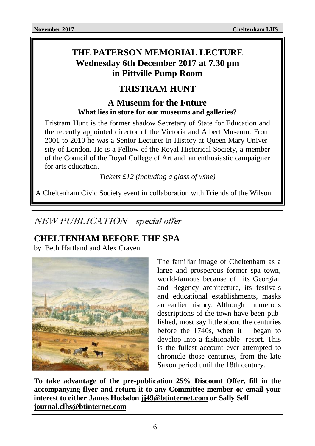# **THE PATERSON MEMORIAL LECTURE Wednesday 6th December 2017 at 7.30 pm in Pittville Pump Room**

# **TRISTRAM HUNT**

# **A Museum for the Future What lies in store for our museums and galleries?**

Tristram Hunt is the former shadow Secretary of State for Education and the recently appointed director of the Victoria and Albert Museum. From 2001 to 2010 he was a Senior Lecturer in History at Queen Mary University of London. He is a Fellow of the Royal Historical Society, a member of the Council of the Royal College of Art and an enthusiastic campaigner for arts education.

*Tickets £12 (including a glass of wine)*

A Cheltenham Civic Society event in collaboration with Friends of the Wilson

# NEW PUBLICATION—special offer

# **CHELTENHAM BEFORE THE SPA**

by Beth Hartland and Alex Craven



The familiar image of Cheltenham as a large and prosperous former spa town, world-famous because of its Georgian and Regency architecture, its festivals and educational establishments, masks an earlier history. Although numerous descriptions of the town have been published, most say little about the centuries before the 1740s, when it began to develop into a fashionable resort. This is the fullest account ever attempted to chronicle those centuries, from the late Saxon period until the 18th century.

**To take advantage of the pre-publication 25% Discount Offer, fill in the accompanying flyer and return it to any Committee member or email your interest to either James Hodsdon [jj49@btinternet.com](mailto:jj49@btinternet.com) or Sally Self [journal.clhs@btinternet.com](mailto:journal.clhs@btinternet.com)**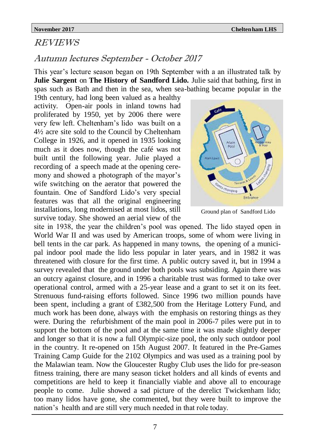#### REVIEWS

# Autumn lectures September - October 2017

This year's lecture season began on 19th September with a an illustrated talk by **Julie Sargent** on **The History of Sandford Lido.** Julie said that bathing, first in spas such as Bath and then in the sea, when sea-bathing became popular in the

19th century, had long been valued as a healthy activity. Open-air pools in inland towns had proliferated by 1950, yet by 2006 there were very few left. Cheltenham's lido was built on a 4½ acre site sold to the Council by Cheltenham College in 1926, and it opened in 1935 looking much as it does now, though the café was not built until the following year. Julie played a recording of a speech made at the opening ceremony and showed a photograph of the mayor's wife switching on the aerator that powered the fountain. One of Sandford Lido's very special features was that all the original engineering installations, long modernised at most lidos, still survive today. She showed an aerial view of the



Ground plan of Sandford Lido

site in 1938, the year the children's pool was opened. The lido stayed open in World War II and was used by American troops, some of whom were living in bell tents in the car park. As happened in many towns, the opening of a municipal indoor pool made the lido less popular in later years, and in 1982 it was threatened with closure for the first time. A public outcry saved it, but in 1994 a survey revealed that the ground under both pools was subsiding. Again there was an outcry against closure, and in 1996 a charitable trust was formed to take over operational control, armed with a 25-year lease and a grant to set it on its feet. Strenuous fund-raising efforts followed. Since 1996 two million pounds have been spent, including a grant of £382,500 from the Heritage Lottery Fund, and much work has been done, always with the emphasis on restoring things as they were. During the refurbishment of the main pool in 2006-7 piles were put in to support the bottom of the pool and at the same time it was made slightly deeper and longer so that it is now a full Olympic-size pool, the only such outdoor pool in the country. It re-opened on 15th August 2007. It featured in the Pre-Games Training Camp Guide for the 2102 Olympics and was used as a training pool by the Malawian team. Now the Gloucester Rugby Club uses the lido for pre-season fitness training, there are many season ticket holders and all kinds of events and competitions are held to keep it financially viable and above all to encourage people to come. Julie showed a sad picture of the derelict Twickenham lido; too many lidos have gone, she commented, but they were built to improve the nation's health and are still very much needed in that role today.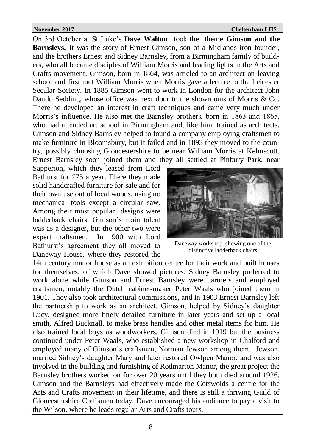On 3rd October at St Luke's **Dave Walton** took the theme **Gimson and the Barnsleys.** It was the story of Ernest Gimson, son of a Midlands iron founder, and the brothers Ernest and Sidney Barnsley, from a Birmingham family of builders, who all became disciples of William Morris and leading lights in the Arts and Crafts movement. Gimson, born in 1864, was articled to an architect on leaving school and first met William Morris when Morris gave a lecture to the Leicester Secular Society. In 1885 Gimson went to work in London for the architect John Dando Sedding, whose office was next door to the showrooms of Morris & Co. There he developed an interest in craft techniques and came very much under Morris's influence. He also met the Barnsley brothers, born in 1863 and 1865, who had attended art school in Birmingham and, like him, trained as architects. Gimson and Sidney Barnsley helped to found a company employing craftsmen to make furniture in Bloomsbury, but it failed and in 1893 they moved to the country, possibly choosing Gloucestershire to be near William Morris at Kelmscott. Ernest Barnsley soon joined them and they all settled at Pinbury Park, near

Sapperton, which they leased from Lord Bathurst for £75 a year. There they made solid handcrafted furniture for sale and for their own use out of local woods, using no mechanical tools except a circular saw. Among their most popular designs were ladderback chairs. Gimson's main talent was as a designer, but the other two were expert craftsmen. In 1900 with Lord Bathurst's agreement they all moved to Daneway House, where they restored the



Daneway workshop, showing one of the distinctive ladderback chairs

14th century manor house as an exhibition centre for their work and built houses for themselves, of which Dave showed pictures. Sidney Barnsley preferred to work alone while Gimson and Ernest Barnsley were partners and employed craftsmen, notably the Dutch cabinet-maker Peter Waals who joined them in 1901. They also took architectural commissions, and in 1903 Ernest Barnsley left the partnership to work as an architect. Gimson, helped by Sidney's daughter Lucy, designed more finely detailed furniture in later years and set up a local smith, Alfred Bucknall, to make brass handles and other metal items for him. He also trained local boys as woodworkers. Gimson died in 1919 but the business continued under Peter Waals, who established a new workshop in Chalford and employed many of Gimson's craftsmen, Norman Jewson among them. Jewson. married Sidney's daughter Mary and later restored Owlpen Manor, and was also involved in the building and furnishing of Rodmarton Manor, the great project the Barnsley brothers worked on for over 20 years until they both died around 1926. Gimson and the Barnsleys had effectively made the Cotswolds a centre for the Arts and Crafts movement in their lifetime, and there is still a thriving Guild of Gloucestershire Craftsmen today. Dave encouraged his audience to pay a visit to the Wilson, where he leads regular Arts and Crafts tours.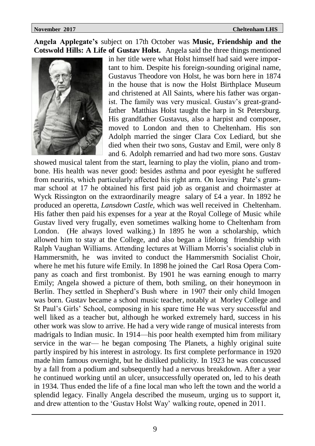**Angela Applegate's** subject on 17th October was **Music, Friendship and the Cotswold Hills: A Life of Gustav Holst.** Angela said the three things mentioned



in her title were what Holst himself had said were important to him. Despite his foreign-sounding original name, Gustavus Theodore von Holst, he was born here in 1874 in the house that is now the Holst Birthplace Museum and christened at All Saints, where his father was organist. The family was very musical. Gustav's great-grandfather Matthias Holst taught the harp in St Petersburg. His grandfather Gustavus, also a harpist and composer, moved to London and then to Cheltenham. His son Adolph married the singer Clara Cox Lediard, but she died when their two sons, Gustav and Emil, were only 8 and 6. Adolph remarried and had two more sons. Gustav

showed musical talent from the start, learning to play the violin, piano and trombone. His health was never good: besides asthma and poor eyesight he suffered from neuritis, which particularly affected his right arm. On leaving Pate's grammar school at 17 he obtained his first paid job as organist and choirmaster at Wyck Rissington on the extraordinarily meagre salary of £4 a year. In 1892 he produced an operetta, *Lansdown Castle,* which was well received in Cheltenham. His father then paid his expenses for a year at the Royal College of Music while Gustav lived very frugally, even sometimes walking home to Cheltenham from London. (He always loved walking.) In 1895 he won a scholarship, which allowed him to stay at the College, and also began a lifelong friendship with Ralph Vaughan Williams. Attending lectures at William Morris's socialist club in Hammersmith, he was invited to conduct the Hammersmith Socialist Choir, where he met his future wife Emily. In 1898 he joined the Carl Rosa Opera Company as coach and first trombonist. By 1901 he was earning enough to marry Emily; Angela showed a picture of them, both smiling, on their honeymoon in Berlin. They settled in Shepherd's Bush where in 1907 their only child Imogen was born. Gustav became a school music teacher, notably at Morley College and St Paul's Girls' School, composing in his spare time He was very successful and well liked as a teacher but, although he worked extremely hard, success in his other work was slow to arrive. He had a very wide range of musical interests from madrigals to Indian music. In 1914—his poor health exempted him from military service in the war— he began composing The Planets, a highly original suite partly inspired by his interest in astrology. Its first complete performance in 1920 made him famous overnight, but he disliked publicity. In 1923 he was concussed by a fall from a podium and subsequently had a nervous breakdown. After a year he continued working until an ulcer, unsuccessfully operated on, led to his death in 1934. Thus ended the life of a fine local man who left the town and the world a splendid legacy. Finally Angela described the museum, urging us to support it, and drew attention to the 'Gustav Holst Way' walking route, opened in 2011.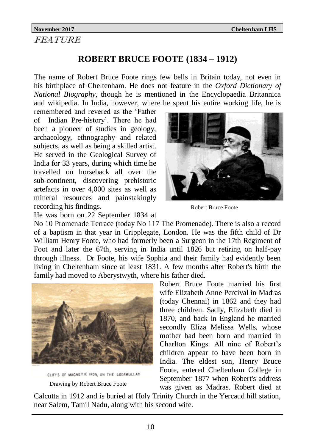# FEATURE

# **ROBERT BRUCE FOOTE (1834 – 1912)**

The name of Robert Bruce Foote rings few bells in Britain today, not even in his birthplace of Cheltenham. He does not feature in the *Oxford Dictionary of National Biography*, though he is mentioned in the Encyclopaedia Britannica and wikipedia. In India, however, where he spent his entire working life, he is

remembered and revered as the 'Father of Indian Pre-history'. There he had been a pioneer of studies in geology, archaeology, ethnography and related subjects, as well as being a skilled artist. He served in the Geological Survey of India for 33 years, during which time he travelled on horseback all over the sub-continent, discovering prehistoric artefacts in over 4,000 sites as well as mineral resources and painstakingly recording his findings.



Robert Bruce Foote

He was born on 22 September 1834 at

No 10 Promenade Terrace (today No 117 The Promenade). There is also a record of a baptism in that year in Cripplegate, London. He was the fifth child of Dr William Henry Foote, who had formerly been a Surgeon in the 17th Regiment of Foot and later the 67th, serving in India until 1826 but retiring on half-pay through illness. Dr Foote, his wife Sophia and their family had evidently been living in Cheltenham since at least 1831. A few months after Robert's birth the family had moved to Aberystwyth, where his father died.



CLIFFS OF MAGNETIC IRON, ON THE GODAMULLAY Drawing by Robert Bruce Foote

Robert Bruce Foote married his first wife Elizabeth Anne Percival in Madras (today Chennai) in 1862 and they had three children. Sadly, Elizabeth died in 1870, and back in England he married secondly Eliza Melissa Wells, whose mother had been born and married in Charlton Kings. All nine of Robert's children appear to have been born in India. The eldest son, Henry Bruce Foote, entered Cheltenham College in September 1877 when Robert's address was given as Madras. Robert died at

Calcutta in 1912 and is buried at Holy Trinity Church in the Yercaud hill station, near Salem, Tamil Nadu, along with his second wife.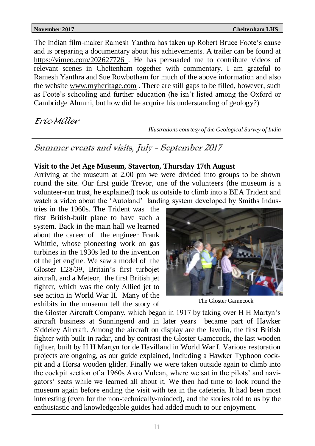The Indian film-maker Ramesh Yanthra has taken up Robert Bruce Foote's cause and is preparing a documentary about his achievements. A trailer can be found at [https://vimeo.com/202627726 .](https://vimeo.com/202627726) He has persuaded me to contribute videos of relevant scenes in Cheltenham together with commentary. I am grateful to Ramesh Yanthra and Sue Rowbotham for much of the above information and also the website [www.myheritage.com](http://www.myheritage.com/) . There are still gaps to be filled, however, such as Foote's schooling and further education (he isn't listed among the Oxford or Cambridge Alumni, but how did he acquire his understanding of geology?)

# *Eric Miller*

*Illustrations courtesy of the Geological Survey of India*

# Summer events and visits, July - September 2017

#### **Visit to the Jet Age Museum, Staverton, Thursday 17th August**

Arriving at the museum at 2.00 pm we were divided into groups to be shown round the site. Our first guide Trevor, one of the volunteers (the museum is a volunteer-run trust, he explained) took us outside to climb into a BEA Trident and watch a video about the 'Autoland' landing system developed by Smiths Indus-

tries in the 1960s. The Trident was the first British-built plane to have such a system. Back in the main hall we learned about the career of the engineer Frank Whittle, whose pioneering work on gas turbines in the 1930s led to the invention of the jet engine. We saw a model of the Gloster E28/39, Britain's first turbojet aircraft, and a Meteor, the first British jet fighter, which was the only Allied jet to see action in World War II. Many of the exhibits in the museum tell the story of



The Gloster Gamecock

the Gloster Aircraft Company, which began in 1917 by taking over H H Martyn's aircraft business at Sunningend and in later years became part of Hawker Siddeley Aircraft. Among the aircraft on display are the Javelin, the first British fighter with built-in radar, and by contrast the Gloster Gamecock, the last wooden fighter, built by H H Martyn for de Havilland in World War I. Various restoration projects are ongoing, as our guide explained, including a Hawker Typhoon cockpit and a Horsa wooden glider. Finally we were taken outside again to climb into the cockpit section of a 1960s Avro Vulcan, where we sat in the pilots' and navigators' seats while we learned all about it. We then had time to look round the museum again before ending the visit with tea in the cafeteria. It had been most interesting (even for the non-technically-minded), and the stories told to us by the enthusiastic and knowledgeable guides had added much to our enjoyment.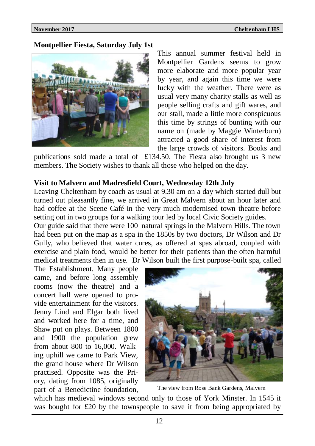**Montpellier Fiesta, Saturday July 1st**



This annual summer festival held in Montpellier Gardens seems to grow more elaborate and more popular year by year, and again this time we were lucky with the weather. There were as usual very many charity stalls as well as people selling crafts and gift wares, and our stall, made a little more conspicuous this time by strings of bunting with our name on (made by Maggie Winterburn) attracted a good share of interest from the large crowds of visitors. Books and

publications sold made a total of £134.50. The Fiesta also brought us 3 new members. The Society wishes to thank all those who helped on the day.

#### **Visit to Malvern and Madresfield Court, Wednesday 12th July**

Leaving Cheltenham by coach as usual at 9.30 am on a day which started dull but turned out pleasantly fine, we arrived in Great Malvern about an hour later and had coffee at the Scene Café in the very much modernised town theatre before setting out in two groups for a walking tour led by local Civic Society guides.

Our guide said that there were 100 natural springs in the Malvern Hills. The town had been put on the map as a spa in the 1850s by two doctors, Dr Wilson and Dr Gully, who believed that water cures, as offered at spas abroad, coupled with exercise and plain food, would be better for their patients than the often harmful medical treatments then in use. Dr Wilson built the first purpose-built spa, called

The Establishment. Many people came, and before long assembly rooms (now the theatre) and a concert hall were opened to provide entertainment for the visitors. Jenny Lind and Elgar both lived and worked here for a time, and Shaw put on plays. Between 1800 and 1900 the population grew from about 800 to 16,000. Walking uphill we came to Park View, the grand house where Dr Wilson practised. Opposite was the Priory, dating from 1085, originally part of a Benedictine foundation,



The view from Rose Bank Gardens, Malvern

which has medieval windows second only to those of York Minster. In 1545 it was bought for £20 by the townspeople to save it from being appropriated by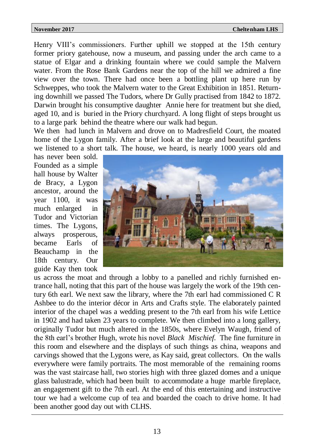Henry VIII's commissioners. Further uphill we stopped at the 15th century former priory gatehouse, now a museum, and passing under the arch came to a statue of Elgar and a drinking fountain where we could sample the Malvern water. From the Rose Bank Gardens near the top of the hill we admired a fine view over the town. There had once been a bottling plant up here run by Schweppes, who took the Malvern water to the Great Exhibition in 1851. Returning downhill we passed The Tudors, where Dr Gully practised from 1842 to 1872. Darwin brought his consumptive daughter Annie here for treatment but she died, aged 10, and is buried in the Priory churchyard. A long flight of steps brought us to a large park behind the theatre where our walk had begun.

We then had lunch in Malvern and drove on to Madresfield Court, the moated home of the Lygon family. After a brief look at the large and beautiful gardens we listened to a short talk. The house, we heard, is nearly 1000 years old and

has never been sold. Founded as a simple hall house by Walter de Bracy, a Lygon ancestor, around the year 1100, it was much enlarged in Tudor and Victorian times. The Lygons, always prosperous, became Earls of Beauchamp in the 18th century. Our guide Kay then took



us across the moat and through a lobby to a panelled and richly furnished entrance hall, noting that this part of the house was largely the work of the 19th century 6th earl. We next saw the library, where the 7th earl had commissioned C R Ashbee to do the interior décor in Arts and Crafts style. The elaborately painted interior of the chapel was a wedding present to the 7th earl from his wife Lettice in 1902 and had taken 23 years to complete. We then climbed into a long gallery, originally Tudor but much altered in the 1850s, where Evelyn Waugh, friend of the 8th earl's brother Hugh, wrote his novel *Black Mischief.* The fine furniture in this room and elsewhere and the displays of such things as china, weapons and carvings showed that the Lygons were, as Kay said, great collectors. On the walls everywhere were family portraits. The most memorable of the remaining rooms was the vast staircase hall, two stories high with three glazed domes and a unique glass balustrade, which had been built to accommodate a huge marble fireplace, an engagement gift to the 7th earl. At the end of this entertaining and instructive tour we had a welcome cup of tea and boarded the coach to drive home. It had been another good day out with CLHS.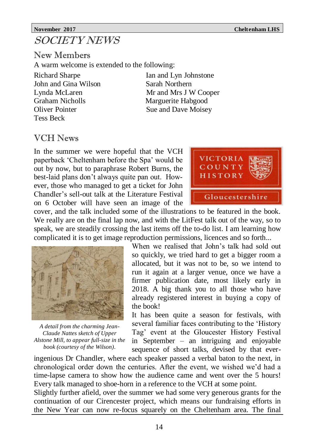# SOCIETY NEWS

New Members A warm welcome is extended to the following:

John and Gina Wilson Sarah Northern Graham Nicholls Marguerite Habgood Oliver Pointer Sue and Dave Moisey Tess Beck

Richard Sharpe Ian and Lyn Johnstone Lynda McLaren Mr and Mrs J W Cooper

# VCH News

In the summer we were hopeful that the VCH paperback 'Cheltenham before the Spa' would be out by now, but to paraphrase Robert Burns, the best-laid plans don't always quite pan out. However, those who managed to get a ticket for John Chandler's sell-out talk at the Literature Festival on 6 October will have seen an image of the



cover, and the talk included some of the illustrations to be featured in the book. We really are on the final lap now, and with the LitFest talk out of the way, so to speak, we are steadily crossing the last items off the to-do list. I am learning how complicated it is to get image reproduction permissions, licences and so forth...



*A detail from the charming Jean-Claude Nattes sketch of Upper Alstone Mill, to appear full-size in the book (courtesy of the Wilson)*.

When we realised that John's talk had sold out so quickly, we tried hard to get a bigger room a allocated, but it was not to be, so we intend to run it again at a larger venue, once we have a firmer publication date, most likely early in 2018. A big thank you to all those who have already registered interest in buying a copy of the book!

It has been quite a season for festivals, with several familiar faces contributing to the 'History Tag' event at the Gloucester History Festival in September – an intriguing and enjoyable sequence of short talks, devised by that ever-

ingenious Dr Chandler, where each speaker passed a verbal baton to the next, in chronological order down the centuries. After the event, we wished we'd had a time-lapse camera to show how the audience came and went over the 5 hours! Every talk managed to shoe-horn in a reference to the VCH at some point.

Slightly further afield, over the summer we had some very generous grants for the continuation of our Cirencester project, which means our fundraising efforts in the New Year can now re-focus squarely on the Cheltenham area. The final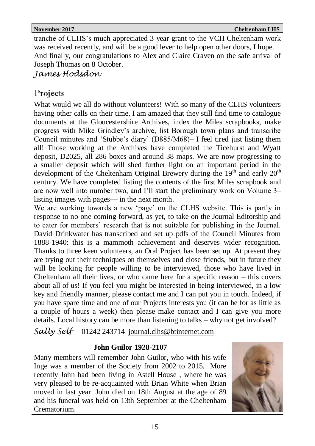tranche of CLHS's much-appreciated 3-year grant to the VCH Cheltenham work was received recently, and will be a good lever to help open other doors, I hope. And finally, our congratulations to Alex and Claire Craven on the safe arrival of Joseph Thomas on 8 October.

*James Hodsdon*

# Projects

What would we all do without volunteers! With so many of the CLHS volunteers having other calls on their time, I am amazed that they still find time to catalogue documents at the Gloucestershire Archives, index the Miles scrapbooks, make progress with Mike Grindley's archive, list Borough town plans and transcribe Council minutes and 'Stubbe's diary' (D885/M68)– I feel tired just listing them all! Those working at the Archives have completed the Ticehurst and Wyatt deposit, D2025, all 286 boxes and around 38 maps. We are now progressing to a smaller deposit which will shed further light on an important period in the development of the Cheltenham Original Brewery during the  $19<sup>th</sup>$  and early  $20<sup>th</sup>$ century. We have completed listing the contents of the first Miles scrapbook and are now well into number two, and I'll start the preliminary work on Volume 3– listing images with pages— in the next month.

We are working towards a new 'page' on the CLHS website. This is partly in response to no-one coming forward, as yet, to take on the Journal Editorship and to cater for members' research that is not suitable for publishing in the Journal. David Drinkwater has transcribed and set up pdfs of the Council Minutes from 1888-1940: this is a mammoth achievement and deserves wider recognition. Thanks to three keen volunteers, an Oral Project has been set up. At present they are trying out their techniques on themselves and close friends, but in future they will be looking for people willing to be interviewed, those who have lived in Cheltenham all their lives, or who came here for a specific reason – this covers about all of us! If you feel you might be interested in being interviewed, in a low key and friendly manner, please contact me and I can put you in touch. Indeed, if you have spare time and one of our Projects interests you (it can be for as little as a couple of hours a week) then please make contact and I can give you more details. Local history can be more than listening to talks – why not get involved?

*Sally Self* 01242 243714 [journal.clhs@btinternet.com](mailto:journal.clhs@btinternet.com) 

# **John Guilor 1928-2107**

Many members will remember John Guilor, who with his wife Inge was a member of the Society from 2002 to 2015. More recently John had been living in Astell House , where he was very pleased to be re-acquainted with Brian White when Brian moved in last year. John died on 18th August at the age of 89 and his funeral was held on 13th September at the Cheltenham Crematorium.

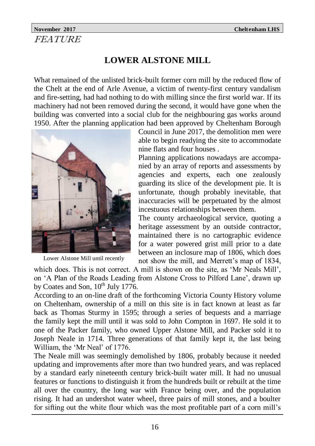## **November 2017 Cheltenham LHS** FEATURE

# **LOWER ALSTONE MILL**

What remained of the unlisted brick-built former corn mill by the reduced flow of the Chelt at the end of Arle Avenue, a victim of twenty-first century vandalism and fire-setting, had had nothing to do with milling since the first world war. If its machinery had not been removed during the second, it would have gone when the building was converted into a social club for the neighbouring gas works around 1950. After the planning application had been approved by Cheltenham Borough



Lower Alstone Mill until recently

Council in June 2017, the demolition men were able to begin readying the site to accommodate nine flats and four houses .

Planning applications nowadays are accompanied by an array of reports and assessments by agencies and experts, each one zealously guarding its slice of the development pie. It is unfortunate, though probably inevitable, that inaccuracies will be perpetuated by the almost incestuous relationships between them.

The county archaeological service, quoting a heritage assessment by an outside contractor, maintained there is no cartographic evidence for a water powered grist mill prior to a date between an inclosure map of 1806, which does not show the mill, and Merrett's map of 1834,

which does. This is not correct. A mill is shown on the site, as 'Mr Neals Mill', on 'A Plan of the Roads Leading from Alstone Cross to Pilford Lane', drawn up by Coates and Son,  $10^{th}$  July 1776.

According to an on-line draft of the forthcoming Victoria County History volume on Cheltenham, ownership of a mill on this site is in fact known at least as far back as Thomas Sturmy in 1595; through a series of bequests and a marriage the family kept the mill until it was sold to John Compton in 1697. He sold it to one of the Packer family, who owned Upper Alstone Mill, and Packer sold it to Joseph Neale in 1714. Three generations of that family kept it, the last being William, the 'Mr Neal' of 1776.

The Neale mill was seemingly demolished by 1806, probably because it needed updating and improvements after more than two hundred years, and was replaced by a standard early nineteenth century brick-built water mill. It had no unusual features or functions to distinguish it from the hundreds built or rebuilt at the time all over the country, the long war with France being over, and the population rising. It had an undershot water wheel, three pairs of mill stones, and a boulter for sifting out the white flour which was the most profitable part of a corn mill's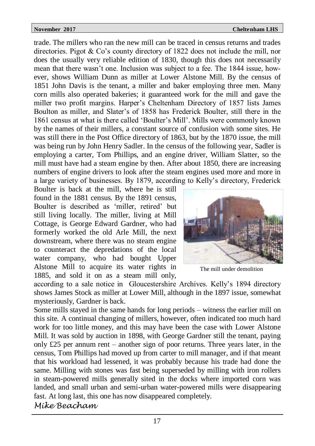trade. The millers who ran the new mill can be traced in census returns and trades directories. Pigot & Co's county directory of 1822 does not include the mill, nor does the usually very reliable edition of 1830, though this does not necessarily mean that there wasn't one. Inclusion was subject to a fee. The 1844 issue, however, shows William Dunn as miller at Lower Alstone Mill. By the census of 1851 John Davis is the tenant, a miller and baker employing three men. Many corn mills also operated bakeries; it guaranteed work for the mill and gave the miller two profit margins. Harper's Cheltenham Directory of 1857 lists James Boulton as miller, and Slater's of 1858 has Frederick Boulter, still there in the 1861 census at what is there called 'Boulter's Mill'. Mills were commonly known by the names of their millers, a constant source of confusion with some sites. He was still there in the Post Office directory of 1863, but by the 1870 issue, the mill was being run by John Henry Sadler. In the census of the following year, Sadler is employing a carter, Tom Phillips, and an engine driver, William Slatter, so the mill must have had a steam engine by then. After about 1850, there are increasing numbers of engine drivers to look after the steam engines used more and more in a large variety of businesses. By 1879, according to Kelly's directory, Frederick

Boulter is back at the mill, where he is still found in the 1881 census. By the 1891 census, Boulter is described as 'miller, retired' but still living locally. The miller, living at Mill Cottage, is George Edward Gardner, who had formerly worked the old Arle Mill, the next downstream, where there was no steam engine to counteract the depredations of the local water company, who had bought Upper Alstone Mill to acquire its water rights in 1885, and sold it on as a steam mill only,



The mill under demolition

according to a sale notice in Gloucestershire Archives. Kelly's 1894 directory shows James Stock as miller at Lower Mill, although in the 1897 issue, somewhat mysteriously, Gardner is back.

Some mills stayed in the same hands for long periods – witness the earlier mill on this site. A continual changing of millers, however, often indicated too much hard work for too little money, and this may have been the case with Lower Alstone Mill. It was sold by auction in 1898, with George Gardner still the tenant, paying only £25 per annum rent – another sign of poor returns. Three years later, in the census, Tom Phillips had moved up from carter to mill manager, and if that meant that his workload had lessened, it was probably because his trade had done the same. Milling with stones was fast being superseded by milling with iron rollers in steam-powered mills generally sited in the docks where imported corn was landed, and small urban and semi-urban water-powered mills were disappearing fast. At long last, this one has now disappeared completely.

*Mike Beacham*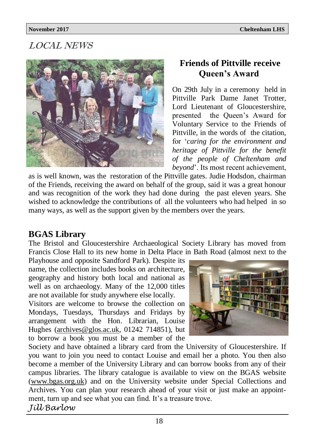# LOCAL NEWS



# **Friends of Pittville receive Queen's Award**

On 29th July in a ceremony held in Pittville Park Dame Janet Trotter, Lord Lieutenant of Gloucestershire, presented the Queen's Award for Voluntary Service to the Friends of Pittville, in the words of the citation, for '*caring for the environment and heritage of Pittville for the benefit of the people of Cheltenham and beyond*'. Its most recent achievement,

as is well known, was the restoration of the Pittville gates. Judie Hodsdon, chairman of the Friends, receiving the award on behalf of the group, said it was a great honour and was recognition of the work they had done during the past eleven years. She wished to acknowledge the contributions of all the volunteers who had helped in so many ways, as well as the support given by the members over the years.

# **BGAS Library**

The Bristol and Gloucestershire Archaeological Society Library has moved from Francis Close Hall to its new home in Delta Place in Bath Road (almost next to the

Playhouse and opposite Sandford Park). Despite its name, the collection includes books on architecture, geography and history both local and national as well as on archaeology. Many of the 12,000 titles are not available for study anywhere else locally.

Visitors are welcome to browse the collection on Mondays, Tuesdays, Thursdays and Fridays by arrangement with the Hon. Librarian, Louise Hughes ([archives@glos.ac.uk,](mailto:archives@glos.ac.uk) 01242 714851), but to borrow a book you must be a member of the



Society and have obtained a library card from the University of Gloucestershire. If you want to join you need to contact Louise and email her a photo. You then also become a member of the University Library and can borrow books from any of their campus libraries. The library catalogue is available to view on the BGAS website [\(www.bgas.org.uk\)](http://www.bgas.org.uk) and on the University website under Special Collections and Archives. You can plan your research ahead of your visit or just make an appointment, turn up and see what you can find. It's a treasure trove. *Jill Barlow*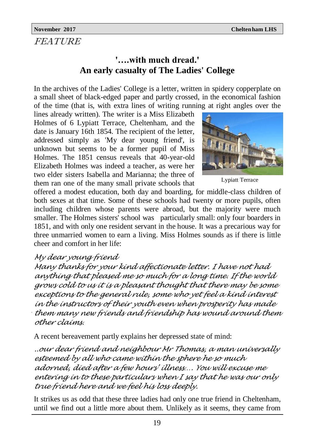# FEATURE

# **'….with much dread.' An early casualty of The Ladies' College**

In the archives of the Ladies' College is a letter, written in spidery copperplate on a small sheet of black-edged paper and partly crossed, in the economical fashion of the time (that is, with extra lines of writing running at right angles over the

lines already written). The writer is a Miss Elizabeth Holmes of 6 Lypiatt Terrace, Cheltenham, and the date is January 16th 1854. The recipient of the letter, addressed simply as 'My dear young friend', is unknown but seems to be a former pupil of Miss Holmes. The 1851 census reveals that 40-year-old Elizabeth Holmes was indeed a teacher, as were her two elder sisters Isabella and Marianna; the three of them ran one of the many small private schools that



Lypiatt Terrace

offered a modest education, both day and boarding, for middle-class children of both sexes at that time. Some of these schools had twenty or more pupils, often including children whose parents were abroad, but the majority were much smaller. The Holmes sisters' school was particularly small: only four boarders in 1851, and with only one resident servant in the house. It was a precarious way for three unmarried women to earn a living. Miss Holmes sounds as if there is little cheer and comfort in her life:

# *My dear young friend*

*Many thanks for your kind affectionate letter. I have not had anything that pleased me so much for a long time. If the world grows cold to us it is a pleasant thought that there may be some exceptions to the general rule, some who yet feel a kind interest in the instructors of their youth even when prosperity has made them many new friends and friendship has wound around them other claims.*

A recent bereavement partly explains her depressed state of mind:

*..our dear friend and neighbour Mr Thomas, a man universally esteemed by all who came within the sphere he so much adorned, died after a few hours' illness…. You will excuse me entering in to these particulars when I say that he was our only true friend here and we feel his loss deeply.* 

It strikes us as odd that these three ladies had only one true friend in Cheltenham, until we find out a little more about them. Unlikely as it seems, they came from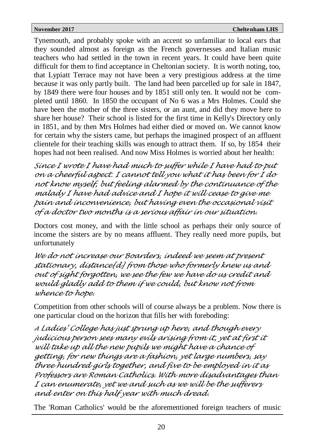Tynemouth, and probably spoke with an accent so unfamiliar to local ears that they sounded almost as foreign as the French governesses and Italian music teachers who had settled in the town in recent years. It could have been quite difficult for them to find acceptance in Cheltonian society. It is worth noting, too, that Lypiatt Terrace may not have been a very prestigious address at the time because it was only partly built. The land had been parcelled up for sale in 1847, by 1849 there were four houses and by 1851 still only ten. It would not be completed until 1860. In 1850 the occupant of No 6 was a Mrs Holmes. Could she have been the mother of the three sisters, or an aunt, and did they move here to share her house? Their school is listed for the first time in Kelly's Directory only in 1851, and by then Mrs Holmes had either died or moved on. We cannot know for certain why the sisters came, but perhaps the imagined prospect of an affluent clientele for their teaching skills was enough to attract them. If so, by 1854 their hopes had not been realised. And now Miss Holmes is worried about her health:

*Since I wrote I have had much to suffer while I have had to put on a cheerful aspect. I cannot tell you what it has been for I do not know myself, but feeling alarmed by the continuance of the malady I have had advice and I hope it will cease to give me pain and inconvenience, but having even the occasional visit of a doctor two months is a serious affair in our situation.*

Doctors cost money, and with the little school as perhaps their only source of income the sisters are by no means affluent. They really need more pupils, but unfortunately

*We do not increase our Boarders, indeed we seem at present stationary, distance[d] from those who formerly knew us and out of sight forgotten, we see the few we have do us credit and would gladly add to them if we could, but know not from whence to hope.*

Competition from other schools will of course always be a problem. Now there is one particular cloud on the horizon that fills her with foreboding:

*<sup>A</sup>Ladies' College has just sprung up here, and though every judicious person sees many evils arising from it, yet at first it will take up all the new pupils we might have a chance of getting, for new things are a fashion, yet large numbers, say three hundred girls together, and five to be employed in it as Professors are Roman Catholics. With more disadvantages than I can enumerate, yet we and such as we will be the sufferers and enter on this half year with much dread.*

The 'Roman Catholics' would be the aforementioned foreign teachers of music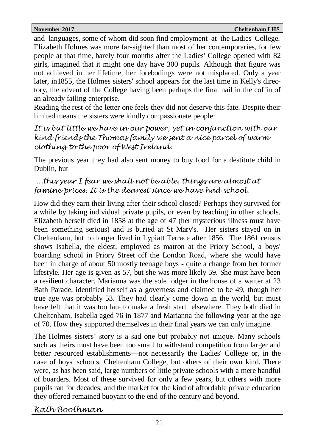and languages, some of whom did soon find employment at the Ladies' College. Elizabeth Holmes was more far-sighted than most of her contemporaries, for few people at that time, barely four months after the Ladies' College opened with 82 girls, imagined that it might one day have 300 pupils. Although that figure was not achieved in her lifetime, her forebodings were not misplaced. Only a year later, in1855, the Holmes sisters' school appears for the last time in Kelly's directory, the advent of the College having been perhaps the final nail in the coffin of an already failing enterprise.

Reading the rest of the letter one feels they did not deserve this fate. Despite their limited means the sisters were kindly compassionate people:

### *It is but little we have in our power, yet in conjunction with our kind friends the Thomas family we sent a nice parcel of warm clothing to the poor of West Ireland.*

The previous year they had also sent money to buy food for a destitute child in Dublin, but

# *….this year I fear we shall not be able, things are almost at famine prices. It is the dearest since we have had school.*

How did they earn their living after their school closed? Perhaps they survived for a while by taking individual private pupils, or even by teaching in other schools. Elizabeth herself died in 1858 at the age of 47 (her mysterious illness must have been something serious) and is buried at St Mary's. Her sisters stayed on in Cheltenham, but no longer lived in Lypiatt Terrace after 1856. The 1861 census shows Isabella, the eldest, employed as matron at the Priory School, a boys' boarding school in Priory Street off the London Road, where she would have been in charge of about 50 mostly teenage boys - quite a change from her former lifestyle. Her age is given as 57, but she was more likely 59. She must have been a resilient character. Marianna was the sole lodger in the house of a waiter at 23 Bath Parade, identified herself as a governess and claimed to be 49, though her true age was probably 53. They had clearly come down in the world, but must have felt that it was too late to make a fresh start elsewhere. They both died in Cheltenham, Isabella aged 76 in 1877 and Marianna the following year at the age of 70. How they supported themselves in their final years we can only imagine.

The Holmes sisters' story is a sad one but probably not unique. Many schools such as theirs must have been too small to withstand competition from larger and better resourced establishments—not necessarily the Ladies' College or, in the case of boys' schools, Cheltenham College, but others of their own kind. There were, as has been said, large numbers of little private schools with a mere handful of boarders. Most of these survived for only a few years, but others with more pupils ran for decades, and the market for the kind of affordable private education they offered remained buoyant to the end of the century and beyond.

# *Kath Boothman*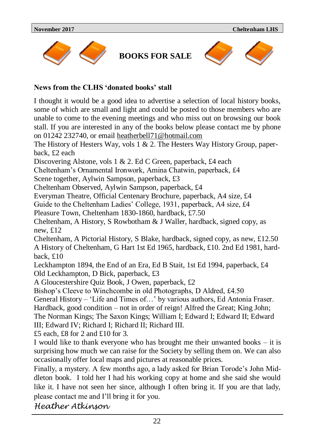

**BOOKS FOR SALE**



#### **News from the CLHS 'donated books' stall**

I thought it would be a good idea to advertise a selection of local history books, some of which are small and light and could be posted to those members who are unable to come to the evening meetings and who miss out on browsing our book stall. If you are interested in any of the books below please contact me by phone on 01242 232740, or email [heatherbell71@hotmail.com](mailto:heatherbell71@hotmail.com)

The History of Hesters Way, vols 1 & 2. The Hesters Way History Group, paperback, £2 each

Discovering Alstone, vols 1 & 2. Ed C Green, paperback, £4 each

Cheltenham's Ornamental Ironwork, Amina Chatwin, paperback, £4

Scene together, Aylwin Sampson, paperback, £3

Cheltenham Observed, Aylwin Sampson, paperback, £4

Everyman Theatre, Official Centenary Brochure, paperback, A4 size, £4

Guide to the Cheltenham Ladies' College, 1931, paperback, A4 size, £4

Pleasure Town, Cheltenham 1830-1860, hardback, £7.50

Cheltenham, A History, S Rowbotham & J Waller, hardback, signed copy, as new, £12

Cheltenham, A Pictorial History, S Blake, hardback, signed copy, as new, £12.50 A History of Cheltenham, G Hart 1st Ed 1965, hardback, £10. 2nd Ed 1981, hardback, £10

Leckhampton 1894, the End of an Era, Ed B Stait, 1st Ed 1994, paperback, £4 Old Leckhampton, D Bick, paperback, £3

A Gloucestershire Quiz Book, J Owen, paperback, £2

Bishop's Cleeve to Winchcombe in old Photographs, D Aldred, £4.50

General History – 'Life and Times of…' by various authors, Ed Antonia Fraser.

Hardback, good condition – not in order of reign! Alfred the Great; King John;

The Norman Kings; The Saxon Kings; William I; Edward I; Edward II; Edward III; Edward IV; Richard I; Richard II; Richard III.

£5 each, £8 for 2 and £10 for 3.

I would like to thank everyone who has brought me their unwanted books – it is surprising how much we can raise for the Society by selling them on. We can also occasionally offer local maps and pictures at reasonable prices.

Finally, a mystery. A few months ago, a lady asked for Brian Torode's John Middleton book. I told her I had his working copy at home and she said she would like it. I have not seen her since, although I often bring it. If you are that lady, please contact me and I'll bring it for you.

*Heather Atkinson*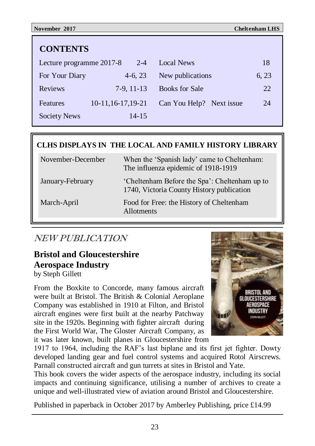| <b>CONTENTS</b>          |                     |                          |       |  |
|--------------------------|---------------------|--------------------------|-------|--|
| Lecture programme 2017-8 | $2 - 4$             | Local News               | 18    |  |
| For Your Diary           | $4-6, 23$           | New publications         | 6, 23 |  |
| <b>Reviews</b>           | $7-9.11-13$         | <b>Books for Sale</b>    | 22    |  |
| Features                 | 10-11, 16-17, 19-21 | Can You Help? Next issue | 24    |  |
| Society News             | 14-15               |                          |       |  |

### **CLHS DISPLAYS IN THE LOCAL AND FAMILY HISTORY LIBRARY**

| November-December | When the 'Spanish lady' came to Cheltenham:<br>The influenza epidemic of 1918-1919         |
|-------------------|--------------------------------------------------------------------------------------------|
| January-February  | 'Cheltenham Before the Spa': Cheltenham up to<br>1740, Victoria County History publication |
| March-April       | Food for Free: the History of Cheltenham<br><b>Allotments</b>                              |

# NEW PUBLICATION

# **Bristol and Gloucestershire Aerospace Industry**

by Steph Gillett

From the Boxkite to Concorde, many famous aircraft were built at Bristol. The British & Colonial Aeroplane Company was established in 1910 at Filton, and Bristol aircraft engines were first built at the nearby Patchway site in the 1920s. Beginning with fighter aircraft during the First World War, The Gloster Aircraft Company, as it was later known, built planes in Gloucestershire from



1917 to 1964, including the RAF's last biplane and its first jet fighter. Dowty developed landing gear and fuel control systems and acquired Rotol Airscrews. Parnall constructed aircraft and gun turrets at sites in Bristol and Yate.

This book covers the wider aspects of the aerospace industry, including its social impacts and continuing significance, utilising a number of archives to create a unique and well-illustrated view of aviation around Bristol and Gloucestershire.

Published in paperback in October 2017 by Amberley Publishing, price £14.99